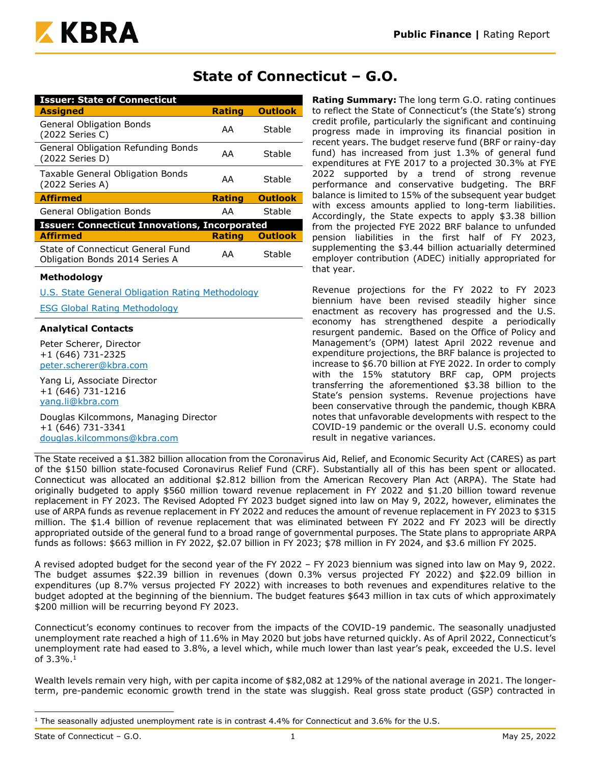

## **State of Connecticut – G.O.**

| <b>Issuer: State of Connecticut</b>                                 |               |                |
|---------------------------------------------------------------------|---------------|----------------|
| <b>Assigned</b>                                                     | <b>Rating</b> | <b>Outlook</b> |
| <b>General Obligation Bonds</b><br>(2022 Series C)                  | AA            | Stable         |
| General Obligation Refunding Bonds<br>(2022 Series D)               | AA            | Stable         |
| Taxable General Obligation Bonds<br>(2022 Series A)                 | AA            | Stable         |
| <b>Affirmed</b>                                                     | <b>Rating</b> | <b>Outlook</b> |
| <b>General Obligation Bonds</b>                                     | AA            | Stable         |
| <b>Issuer: Connecticut Innovations, Incorporated</b>                |               |                |
| <b>Affirmed</b>                                                     | Rating        | <b>Outlook</b> |
| State of Connecticut General Fund<br>Obligation Bonds 2014 Series A | AA            | Stable         |

#### **Methodology**

[U.S. State General Obligation Rating Methodology](https://www.kbra.com/documents/report/74/public-finance-u-s-state-general-obligation-rating-methodology)

[ESG Global Rating Methodology](https://www.kbra.com/documents/report/47746/esg-global-rating-methodology)

#### **Analytical Contacts**

Peter Scherer, Director +1 (646) 731-2325 [peter.scherer@kbra.com](mailto:peter.scherer@kbra.com)

Yang Li, Associate Director +1 (646) 731-1216 [yang.li@kbra.com](mailto:yang.li@kbra.com)

Douglas Kilcommons, Managing Director +1 (646) 731-3341 [douglas.kilcommons@kbra.com](mailto:douglas.kilcommons@kbra.com)

**Rating Summary:** The long term G.O. rating continues to reflect the State of Connecticut's (the State's) strong credit profile, particularly the significant and continuing progress made in improving its financial position in recent years. The budget reserve fund (BRF or rainy-day fund) has increased from just 1.3% of general fund expenditures at FYE 2017 to a projected 30.3% at FYE 2022 supported by a trend of strong revenue performance and conservative budgeting. The BRF balance is limited to 15% of the subsequent year budget with excess amounts applied to long-term liabilities. Accordingly, the State expects to apply \$3.38 billion from the projected FYE 2022 BRF balance to unfunded pension liabilities in the first half of FY 2023, supplementing the \$3.44 billion actuarially determined employer contribution (ADEC) initially appropriated for that year.

Revenue projections for the FY 2022 to FY 2023 biennium have been revised steadily higher since enactment as recovery has progressed and the U.S. economy has strengthened despite a periodically resurgent pandemic. Based on the Office of Policy and Management's (OPM) latest April 2022 revenue and expenditure projections, the BRF balance is projected to increase to \$6.70 billion at FYE 2022. In order to comply with the 15% statutory BRF cap, OPM projects transferring the aforementioned \$3.38 billion to the State's pension systems. Revenue projections have been conservative through the pandemic, though KBRA notes that unfavorable developments with respect to the COVID-19 pandemic or the overall U.S. economy could result in negative variances.

The State received a \$1.382 billion allocation from the Coronavirus Aid, Relief, and Economic Security Act (CARES) as part of the \$150 billion state-focused Coronavirus Relief Fund (CRF). Substantially all of this has been spent or allocated. Connecticut was allocated an additional \$2.812 billion from the American Recovery Plan Act (ARPA). The State had originally budgeted to apply \$560 million toward revenue replacement in FY 2022 and \$1.20 billion toward revenue replacement in FY 2023. The Revised Adopted FY 2023 budget signed into law on May 9, 2022, however, eliminates the use of ARPA funds as revenue replacement in FY 2022 and reduces the amount of revenue replacement in FY 2023 to \$315 million. The \$1.4 billion of revenue replacement that was eliminated between FY 2022 and FY 2023 will be directly appropriated outside of the general fund to a broad range of governmental purposes. The State plans to appropriate ARPA funds as follows: \$663 million in FY 2022, \$2.07 billion in FY 2023; \$78 million in FY 2024, and \$3.6 million FY 2025.

A revised adopted budget for the second year of the FY 2022 – FY 2023 biennium was signed into law on May 9, 2022. The budget assumes \$22.39 billion in revenues (down 0.3% versus projected FY 2022) and \$22.09 billion in expenditures (up 8.7% versus projected FY 2022) with increases to both revenues and expenditures relative to the budget adopted at the beginning of the biennium. The budget features \$643 million in tax cuts of which approximately \$200 million will be recurring beyond FY 2023.

Connecticut's economy continues to recover from the impacts of the COVID-19 pandemic. The seasonally unadjusted unemployment rate reached a high of 11.6% in May 2020 but jobs have returned quickly. As of April 2022, Connecticut's unemployment rate had eased to 3.8%, a level which, while much lower than last year's peak, exceeded the U.S. level of 3.3%.<sup>1</sup>

Wealth levels remain very high, with per capita income of \$82,082 at 129% of the national average in 2021. The longerterm, pre-pandemic economic growth trend in the state was sluggish. Real gross state product (GSP) contracted in

 $1$  The seasonally adjusted unemployment rate is in contrast 4.4% for Connecticut and 3.6% for the U.S.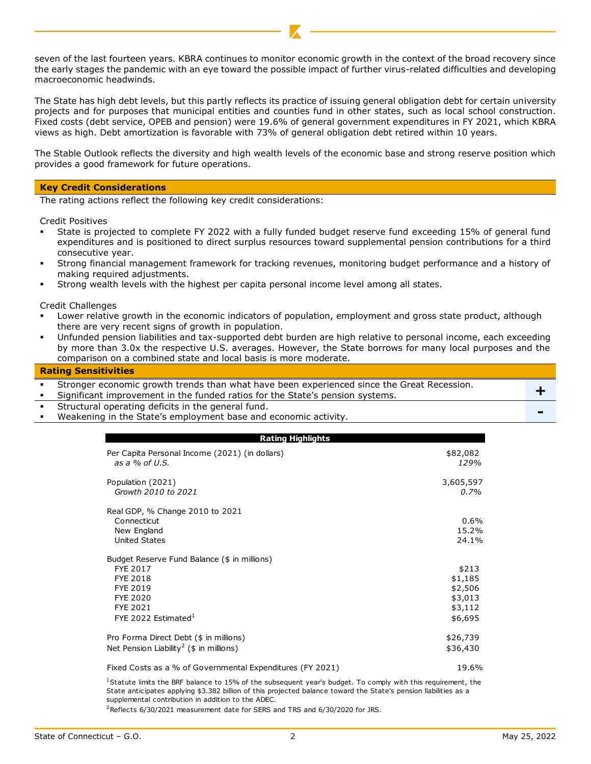seven of the last fourteen years. KBRA continues to monitor economic growth in the context of the broad recovery since the early stages the pandemic with an eye toward the possible impact of further virus-related difficulties and developing macroeconomic headwinds.

The State has high debt levels, but this partly reflects its practice of issuing general obligation debt for certain university projects and for purposes that municipal entities and counties fund in other states, such as local school construction. Fixed costs (debt service, OPEB and pension) were 19.6% of general government expenditures in FY 2021, which KBRA views as high. Debt amortization is favorable with 73% of general obligation debt retired within 10 years.

The Stable Outlook reflects the diversity and high wealth levels of the economic base and strong reserve position which provides a good framework for future operations.

#### **Key Credit Considerations**

The rating actions reflect the following key credit considerations:

Credit Positives

- State is projected to complete FY 2022 with a fully funded budget reserve fund exceeding 15% of general fund expenditures and is positioned to direct surplus resources toward supplemental pension contributions for a third consecutive year.
- Strong financial management framework for tracking revenues, monitoring budget performance and a history of making required adjustments.
- Strong wealth levels with the highest per capita personal income level among all states.

Credit Challenges

- Lower relative growth in the economic indicators of population, employment and gross state product, although there are very recent signs of growth in population.
- Unfunded pension liabilities and tax-supported debt burden are high relative to personal income, each exceeding by more than 3.0x the respective U.S. averages. However, the State borrows for many local purposes and the comparison on a combined state and local basis is more moderate.

#### **Rating Sensitivities**

Stronger economic growth trends than what have been experienced since the Great Recession.

Stronger economic growth trends than what have been experienced since the Great Recession.  $+$ 

- Structural operating deficits in the general fund.
- Weakening in the State's employment base and economic activity.

| <b>Rating Highlights</b>                                  |           |
|-----------------------------------------------------------|-----------|
| Per Capita Personal Income (2021) (in dollars)            | \$82,082  |
| as a $%$ of U.S.                                          | 129%      |
| Population (2021)                                         | 3,605,597 |
| Growth 2010 to 2021                                       | 0.7%      |
| Real GDP, % Change 2010 to 2021                           |           |
| Connecticut                                               | 0.6%      |
| New England                                               | 15.2%     |
| United States                                             | 24.1%     |
| Budget Reserve Fund Balance (\$ in millions)              |           |
| FYE 2017                                                  | \$213     |
| <b>FYE 2018</b>                                           | \$1,185   |
| FYE 2019                                                  | \$2,506   |
| <b>FYE 2020</b>                                           | \$3,013   |
| <b>FYE 2021</b>                                           | \$3,112   |
| FYE 2022 Estimated $^1$                                   | \$6,695   |
| Pro Forma Direct Debt (\$ in millions)                    | \$26,739  |
| Net Pension Liability <sup>2</sup> (\$ in millions)       | \$36,430  |
| Fixed Costs as a % of Governmental Expenditures (FY 2021) | 19.6%     |

<sup>1</sup>Statute limits the BRF balance to 15% of the subsequent year's budget. To comply with this requirement, the State anticipates applying \$3.382 billion of this projected balance toward the State's pension liabilities as a supplemental contribution in addition to the ADEC.

<sup>2</sup>Reflects 6/30/2021 measurement date for SERS and TRS and 6/30/2020 for JRS.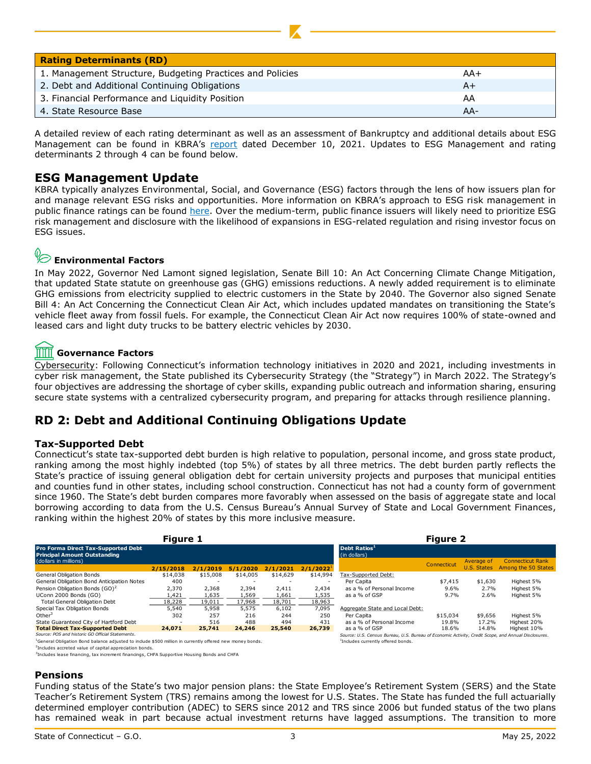| <b>Rating Determinants (RD)</b>                           |       |
|-----------------------------------------------------------|-------|
| 1. Management Structure, Budgeting Practices and Policies | AA+   |
| 2. Debt and Additional Continuing Obligations             | A+    |
| 3. Financial Performance and Liquidity Position           | AA    |
| 4. State Resource Base                                    | $AA-$ |

A detailed review of each rating determinant as well as an assessment of Bankruptcy and additional details about ESG Management can be found in KBRA's [report](https://www.kbra.com/documents/report/60833/state-of-connecticut-general-obligation-bonds-2022-series-a-and-2022-series-b-social-bonds-rating-report) dated December 10, 2021. Updates to ESG Management and rating determinants 2 through 4 can be found below.

## **ESG Management Update**

KBRA typically analyzes Environmental, Social, and Governance (ESG) factors through the lens of how issuers plan for and manage relevant ESG risks and opportunities. More information on KBRA's approach to ESG risk management in public finance ratings can be found [here.](https://www.kbra.com/documents/report/56672/states-kbra-s-framework-for-incorporating-esg-risk-management-in-credit-ratings) Over the medium-term, public finance issuers will likely need to prioritize ESG risk management and disclosure with the likelihood of expansions in ESG-related regulation and rising investor focus on ESG issues.

# **Environmental Factors**

In May 2022, Governor Ned Lamont signed legislation, Senate Bill 10: An Act Concerning Climate Change Mitigation, that updated State statute on greenhouse gas (GHG) emissions reductions. A newly added requirement is to eliminate GHG emissions from electricity supplied to electric customers in the State by 2040. The Governor also signed Senate Bill 4: An Act Concerning the Connecticut Clean Air Act, which includes updated mandates on transitioning the State's vehicle fleet away from fossil fuels. For example, the Connecticut Clean Air Act now requires 100% of state-owned and leased cars and light duty trucks to be battery electric vehicles by 2030.

#### TITT **Governance Factors**

Cybersecurity: Following Connecticut's information technology initiatives in 2020 and 2021, including investments in cyber risk management, the State published its Cybersecurity Strategy (the "Strategy") in March 2022. The Strategy's four objectives are addressing the shortage of cyber skills, expanding public outreach and information sharing, ensuring secure state systems with a centralized cybersecurity program, and preparing for attacks through resilience planning.

## **RD 2: Debt and Additional Continuing Obligations Update**

#### **Tax-Supported Debt**

Connecticut's state tax-supported debt burden is high relative to population, personal income, and gross state product, ranking among the most highly indebted (top 5%) of states by all three metrics. The debt burden partly reflects the State's practice of issuing general obligation debt for certain university projects and purposes that municipal entities and counties fund in other states, including school construction. Connecticut has not had a county form of government since 1960. The State's debt burden compares more favorably when assessed on the basis of aggregate state and local borrowing according to data from the U.S. Census Bureau's Annual Survey of State and Local Government Finances, ranking within the highest 20% of states by this more inclusive measure.

|                                                                                                                      | <b>Figure 1</b> |                          |          | <b>Figure 2</b> |                          |                                                                                                     |             |             |                         |
|----------------------------------------------------------------------------------------------------------------------|-----------------|--------------------------|----------|-----------------|--------------------------|-----------------------------------------------------------------------------------------------------|-------------|-------------|-------------------------|
| Pro Forma Direct Tax-Supported Debt<br><b>Principal Amount Outstanding</b>                                           |                 |                          |          |                 |                          | Debt Ratios <sup>1</sup><br>(in dollars)                                                            |             |             |                         |
| (dollars in millions)                                                                                                |                 |                          |          |                 |                          |                                                                                                     | Connecticut | Average of  | <b>Connecticut Rank</b> |
|                                                                                                                      | 2/15/2018       | 2/1/2019                 | 5/1/2020 | 2/1/2021        | $2/1/2022^1$             |                                                                                                     |             | U.S. States | Among the 50 States     |
| General Obligation Bonds                                                                                             | \$14,038        | \$15,008                 | \$14,005 | \$14,629        | \$14,994                 | Tax-Supported Debt:                                                                                 |             |             |                         |
| General Obligation Bond Anticipation Notes                                                                           | 400             | $\overline{\phantom{a}}$ | -        |                 | $\overline{\phantom{a}}$ | Per Capita                                                                                          | \$7,415     | \$1,630     | Highest 5%              |
| Pension Obligation Bonds (GO) <sup>2</sup>                                                                           | 2.370           | 2.368                    | 2.394    | 2.411           | 2.434                    | as a % of Personal Income                                                                           | $9.6\%$     | 2.7%        | Highest 5%              |
| UConn 2000 Bonds (GO)                                                                                                | 1.421           | 1,635                    | 1.569    | 1,661           | 1,535                    | as a % of GSP                                                                                       | $9.7\%$     | 2.6%        | Highest 5%              |
| <b>Total General Obligation Debt</b>                                                                                 | 18,228          | 19.011                   | 17.968   | 18.701          | 18,963                   |                                                                                                     |             |             |                         |
| Special Tax Obligation Bonds                                                                                         | 5,540           | 5,958                    | 5,575    | 6,102           | 7,095                    | Aggregate State and Local Debt:                                                                     |             |             |                         |
| Other                                                                                                                | 302             | 257                      | 216      | 244             | 250                      | Per Capita                                                                                          | \$15,034    | \$9,656     | Highest 5%              |
| State Guaranteed City of Hartford Debt                                                                               | -               | 516                      | 488      | 494             | 431                      | as a % of Personal Income                                                                           | 19.8%       | 17.2%       | Highest 20%             |
| <b>Total Direct Tax-Supported Debt</b>                                                                               | 24,071          | 25,741                   | 24,246   | 25,540          | 26,739                   | as a % of GSP                                                                                       | 18.6%       | 14.8%       | Highest 10%             |
| Source: POS and historic GO Official Statements.                                                                     |                 |                          |          |                 |                          | Source: U.S. Census Bureau, U.S. Bureau of Economic Activity, Credit Scope, and Annual Disclosures. |             |             |                         |
| <sup>1</sup> General Obligation Bond balance adjusted to include \$500 million in currently offered new money bonds. |                 |                          |          |                 |                          | <sup>1</sup> Includes currently offered bonds.                                                      |             |             |                         |
| 200 studies in consideration to a constant in a series studies in security                                           |                 |                          |          |                 |                          |                                                                                                     |             |             |                         |

Includes accreted value of capital appreciation bonds.

3 Includes lease financing, tax increment financings, CHFA Supportive Housing Bonds and CHFA

#### **Pensions**

Funding status of the State's two major pension plans: the State Employee's Retirement System (SERS) and the State Teacher's Retirement System (TRS) remains among the lowest for U.S. States. The State has funded the full actuarially determined employer contribution (ADEC) to SERS since 2012 and TRS since 2006 but funded status of the two plans has remained weak in part because actual investment returns have lagged assumptions. The transition to more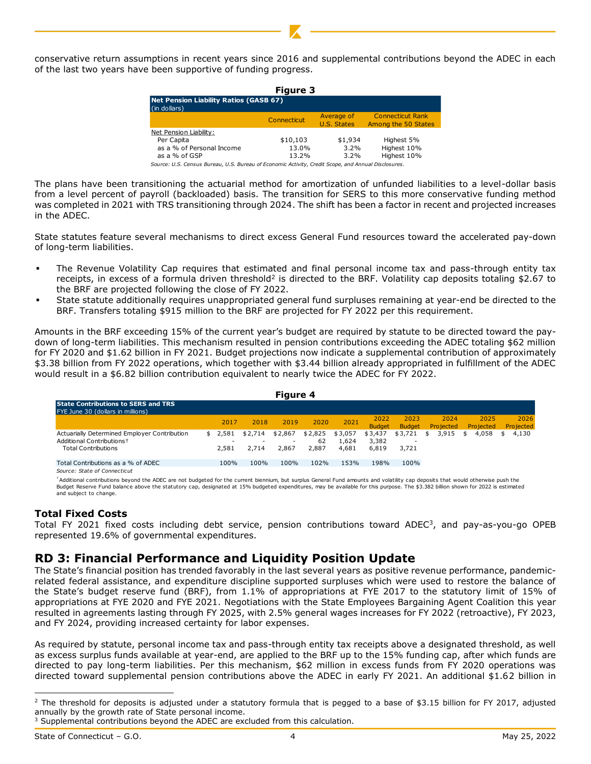conservative return assumptions in recent years since 2016 and supplemental contributions beyond the ADEC in each of the last two years have been supportive of funding progress.

| <b>Figure 3</b>                                               |             |                           |                                                |  |  |  |  |  |  |
|---------------------------------------------------------------|-------------|---------------------------|------------------------------------------------|--|--|--|--|--|--|
| <b>Net Pension Liability Ratios (GASB 67)</b><br>(in dollars) |             |                           |                                                |  |  |  |  |  |  |
|                                                               | Connecticut | Average of<br>U.S. States | <b>Connecticut Rank</b><br>Among the 50 States |  |  |  |  |  |  |
| Net Pension Liability:                                        |             |                           |                                                |  |  |  |  |  |  |
| Per Capita                                                    | \$10,103    | \$1,934                   | Highest 5%                                     |  |  |  |  |  |  |
| as a % of Personal Income                                     | 13.0%       | 3.2%                      | Highest 10%                                    |  |  |  |  |  |  |
| as a % of GSP                                                 | 13.2%       | $3.2\%$                   | Highest 10%                                    |  |  |  |  |  |  |

- The Revenue Volatility Cap requires that estimated and final personal income tax and pass-through entity tax receipts, in excess of a formula driven threshold<sup>2</sup> is directed to the BRF. Volatility cap deposits totaling \$2.67 to the BRF are projected following the close of FY 2022.
- State statute additionally requires unappropriated general fund surpluses remaining at year-end be directed to the BRF. Transfers totaling \$915 million to the BRF are projected for FY 2022 per this requirement.

|                                                                                                                                                                                                                                                                                                                                                                                                                                                                                                                                                                                                                                                                                                                                                                                                                                                                                                                                                                            |                                                                                                                                                                                           |               | Connecticut                        |                 | Average of<br><b>U.S. States</b> |                          | <b>Connecticut Rank</b><br>Among the 50 States |                          |                          |                          |
|----------------------------------------------------------------------------------------------------------------------------------------------------------------------------------------------------------------------------------------------------------------------------------------------------------------------------------------------------------------------------------------------------------------------------------------------------------------------------------------------------------------------------------------------------------------------------------------------------------------------------------------------------------------------------------------------------------------------------------------------------------------------------------------------------------------------------------------------------------------------------------------------------------------------------------------------------------------------------|-------------------------------------------------------------------------------------------------------------------------------------------------------------------------------------------|---------------|------------------------------------|-----------------|----------------------------------|--------------------------|------------------------------------------------|--------------------------|--------------------------|--------------------------|
|                                                                                                                                                                                                                                                                                                                                                                                                                                                                                                                                                                                                                                                                                                                                                                                                                                                                                                                                                                            | Net Pension Liability:<br>Per Capita<br>as a % of Personal Income<br>as a % of GSP<br>Source: U.S. Census Bureau, U.S. Bureau of Economic Activity, Credit Scope, and Annual Disclosures. |               | \$10,103                           | 13.0%<br>13.2%  | \$1,934<br>$3.2\%$<br>3.2%       |                          | Highest 5%<br>Highest 10%<br>Highest 10%       |                          |                          |                          |
| The plans have been transitioning the actuarial method for amortization of unfunded liabilities to a level-dollar l<br>from a level percent of payroll (backloaded) basis. The transition for SERS to this more conservative funding me<br>was completed in 2021 with TRS transitioning through 2024. The shift has been a factor in recent and projected incre<br>in the ADEC.                                                                                                                                                                                                                                                                                                                                                                                                                                                                                                                                                                                            |                                                                                                                                                                                           |               |                                    |                 |                                  |                          |                                                |                          |                          |                          |
| State statutes feature several mechanisms to direct excess General Fund resources toward the accelerated pay-c<br>of long-term liabilities.                                                                                                                                                                                                                                                                                                                                                                                                                                                                                                                                                                                                                                                                                                                                                                                                                                |                                                                                                                                                                                           |               |                                    |                 |                                  |                          |                                                |                          |                          |                          |
| The Revenue Volatility Cap requires that estimated and final personal income tax and pass-through entity<br>٠<br>receipts, in excess of a formula driven threshold <sup>2</sup> is directed to the BRF. Volatility cap deposits totaling \$2.6<br>the BRF are projected following the close of FY 2022.<br>State statute additionally requires unappropriated general fund surpluses remaining at year-end be directed to<br>٠<br>BRF. Transfers totaling \$915 million to the BRF are projected for FY 2022 per this requirement.                                                                                                                                                                                                                                                                                                                                                                                                                                         |                                                                                                                                                                                           |               |                                    |                 |                                  |                          |                                                |                          |                          |                          |
| Amounts in the BRF exceeding 15% of the current year's budget are required by statute to be directed toward the<br>down of long-term liabilities. This mechanism resulted in pension contributions exceeding the ADEC totaling \$62 m<br>for FY 2020 and \$1.62 billion in FY 2021. Budget projections now indicate a supplemental contribution of approxima<br>\$3.38 billion from FY 2022 operations, which together with \$3.44 billion already appropriated in fulfillment of the A<br>would result in a \$6.82 billion contribution equivalent to nearly twice the ADEC for FY 2022.                                                                                                                                                                                                                                                                                                                                                                                  |                                                                                                                                                                                           |               |                                    |                 |                                  |                          |                                                |                          |                          |                          |
|                                                                                                                                                                                                                                                                                                                                                                                                                                                                                                                                                                                                                                                                                                                                                                                                                                                                                                                                                                            |                                                                                                                                                                                           |               | Figure 4                           |                 |                                  |                          |                                                |                          |                          |                          |
| <b>State Contributions to SERS and TRS</b><br>FYE June 30 (dollars in millions)                                                                                                                                                                                                                                                                                                                                                                                                                                                                                                                                                                                                                                                                                                                                                                                                                                                                                            |                                                                                                                                                                                           |               |                                    |                 |                                  | 2022                     | 2023                                           | 2024                     | 2025                     | 2026                     |
| Actuarially Determined Employer Contribution                                                                                                                                                                                                                                                                                                                                                                                                                                                                                                                                                                                                                                                                                                                                                                                                                                                                                                                               | \$                                                                                                                                                                                        | 2017<br>2,581 | 2019<br>2018<br>\$2,714<br>\$2,867 | 2020<br>\$2,825 | 2021<br>\$3,057                  | <b>Budget</b><br>\$3,437 | <b>Budget</b><br>\$3,721                       | Projected<br>3,915<br>\$ | Projected<br>\$<br>4,058 | Projected<br>\$<br>4,130 |
| Additional Contributions <sup>+</sup><br><b>Total Contributions</b>                                                                                                                                                                                                                                                                                                                                                                                                                                                                                                                                                                                                                                                                                                                                                                                                                                                                                                        |                                                                                                                                                                                           | 2,581         | 2,714<br>2,867                     | 62<br>2,887     | 1,624<br>4,681                   | 3,382<br>6,819           | 3,721                                          |                          |                          |                          |
| Total Contributions as a % of ADEC<br>Source: State of Connecticut                                                                                                                                                                                                                                                                                                                                                                                                                                                                                                                                                                                                                                                                                                                                                                                                                                                                                                         |                                                                                                                                                                                           | 100%          | 100%<br>100%                       | 102%            | 153%                             | 198%                     | 100%                                           |                          |                          |                          |
| *Additional contributions beyond the ADEC are not budgeted for the current biennium, but surplus General Fund amounts and volatility cap deposits that would otherwise push the<br>Budget Reserve Fund balance above the statutory cap, designated at 15% budgeted expenditures, may be available for this purpose. The \$3.382 billion shown for 2022 is estimated<br>and subject to change.                                                                                                                                                                                                                                                                                                                                                                                                                                                                                                                                                                              |                                                                                                                                                                                           |               |                                    |                 |                                  |                          |                                                |                          |                          |                          |
| Total Fixed Costs<br>Total FY 2021 fixed costs including debt service, pension contributions toward ADEC <sup>3</sup> , and pay-as-you-go C<br>represented 19.6% of governmental expenditures.                                                                                                                                                                                                                                                                                                                                                                                                                                                                                                                                                                                                                                                                                                                                                                             |                                                                                                                                                                                           |               |                                    |                 |                                  |                          |                                                |                          |                          |                          |
| RD 3: Financial Performance and Liquidity Position Update<br>The State's financial position has trended favorably in the last several years as positive revenue performance, pande<br>related federal assistance, and expenditure discipline supported surpluses which were used to restore the balano<br>the State's budget reserve fund (BRF), from 1.1% of appropriations at FYE 2017 to the statutory limit of 15°<br>appropriations at FYE 2020 and FYE 2021. Negotiations with the State Employees Bargaining Agent Coalition this<br>resulted in agreements lasting through FY 2025, with 2.5% general wages increases for FY 2022 (retroactive), FY 2<br>and FY 2024, providing increased certainty for labor expenses.<br>As required by statute, personal income tax and pass-through entity tax receipts above a designated threshold, as<br>as excess surplus funds available at year-end, are applied to the BRF up to the 15% funding cap, after which funds |                                                                                                                                                                                           |               |                                    |                 |                                  |                          |                                                |                          |                          |                          |
| directed to pay long-term liabilities. Per this mechanism, \$62 million in excess funds from FY 2020 operations<br>directed toward supplemental pension contributions above the ADEC in early FY 2021. An additional \$1.62 billio<br>$^2$ The threshold for deposits is adjusted under a statutory formula that is pegged to a base of \$3.15 billion for FY 2017, adji<br>annually by the growth rate of State personal income.                                                                                                                                                                                                                                                                                                                                                                                                                                                                                                                                          |                                                                                                                                                                                           |               |                                    |                 |                                  |                          |                                                |                          |                          |                          |
| <sup>3</sup> Supplemental contributions beyond the ADEC are excluded from this calculation.                                                                                                                                                                                                                                                                                                                                                                                                                                                                                                                                                                                                                                                                                                                                                                                                                                                                                |                                                                                                                                                                                           |               |                                    |                 |                                  |                          |                                                |                          |                          |                          |

#### **Total Fixed Costs**

## **RD 3: Financial Performance and Liquidity Position Update**

<sup>&</sup>lt;sup>2</sup> The threshold for deposits is adjusted under a statutory formula that is pegged to a base of \$3.15 billion for FY 2017, adjusted annually by the growth rate of State personal income.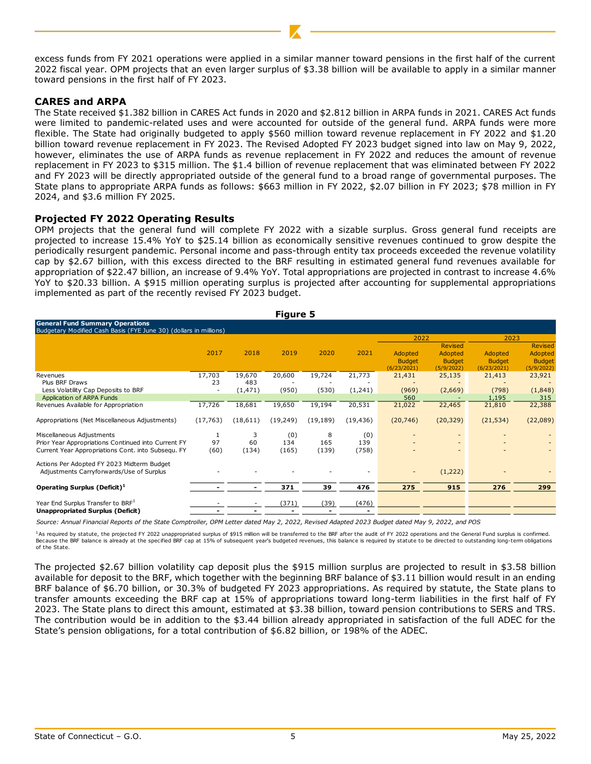excess funds from FY 2021 operations were applied in a similar manner toward pensions in the first half of the current 2022 fiscal year. OPM projects that an even larger surplus of \$3.38 billion will be available to apply in a similar manner toward pensions in the first half of FY 2023.

### **CARES and ARPA**

The State received \$1.382 billion in CARES Act funds in 2020 and \$2.812 billion in ARPA funds in 2021. CARES Act funds were limited to pandemic-related uses and were accounted for outside of the general fund. ARPA funds were more flexible. The State had originally budgeted to apply \$560 million toward revenue replacement in FY 2022 and \$1.20 billion toward revenue replacement in FY 2023. The Revised Adopted FY 2023 budget signed into law on May 9, 2022, however, eliminates the use of ARPA funds as revenue replacement in FY 2022 and reduces the amount of revenue replacement in FY 2023 to \$315 million. The \$1.4 billion of revenue replacement that was eliminated between FY 2022 and FY 2023 will be directly appropriated outside of the general fund to a broad range of governmental purposes. The State plans to appropriate ARPA funds as follows: \$663 million in FY 2022, \$2.07 billion in FY 2023; \$78 million in FY 2024, and \$3.6 million FY 2025.

#### **Projected FY 2022 Operating Results**

OPM projects that the general fund will complete FY 2022 with a sizable surplus. Gross general fund receipts are projected to increase 15.4% YoY to \$25.14 billion as economically sensitive revenues continued to grow despite the periodically resurgent pandemic. Personal income and pass-through entity tax proceeds exceeded the revenue volatility cap by \$2.67 billion, with this excess directed to the BRF resulting in estimated general fund revenues available for appropriation of \$22.47 billion, an increase of 9.4% YoY. Total appropriations are projected in contrast to increase 4.6% YoY to \$20.33 billion. A \$915 million operating surplus is projected after accounting for supplemental appropriations implemented as part of the recently revised FY 2023 budget.

| <b>Figure 5</b>                                                                                             |           |          |           |           |           |                                         |                                                   |                                         |                                                          |  |
|-------------------------------------------------------------------------------------------------------------|-----------|----------|-----------|-----------|-----------|-----------------------------------------|---------------------------------------------------|-----------------------------------------|----------------------------------------------------------|--|
| <b>General Fund Summary Operations</b><br>Budgetary Modified Cash Basis (FYE June 30) (dollars in millions) |           |          |           |           |           |                                         |                                                   |                                         |                                                          |  |
|                                                                                                             |           |          |           |           |           | 2022                                    |                                                   | 2023                                    |                                                          |  |
|                                                                                                             | 2017      | 2018     | 2019      | 2020      | 2021      | Adopted<br><b>Budget</b><br>(6/23/2021) | Revised<br>Adopted<br><b>Budget</b><br>(5/9/2022) | Adopted<br><b>Budget</b><br>(6/23/2021) | <b>Revised</b><br>Adopted<br><b>Budget</b><br>(5/9/2022) |  |
| Revenues                                                                                                    | 17,703    | 19,670   | 20,600    | 19,724    | 21,773    | 21,431                                  | 25,135                                            | 21,413                                  | 23,921                                                   |  |
| Plus BRF Draws                                                                                              | 23        | 483      |           |           |           |                                         |                                                   |                                         |                                                          |  |
| Less Volatility Cap Deposits to BRF                                                                         |           | (1, 471) | (950)     | (530)     | (1,241)   | (969)                                   | (2,669)                                           | (798)                                   | (1,848)                                                  |  |
| Application of ARPA Funds                                                                                   |           |          |           |           |           | 560                                     |                                                   | 1,195                                   | 315                                                      |  |
| Revenues Available for Appropriation                                                                        | 17,726    | 18,681   | 19,650    | 19,194    | 20,531    | 21,022                                  | 22,465                                            | 21,810                                  | 22,388                                                   |  |
| Appropriations (Net Miscellaneous Adjustments)                                                              | (17, 763) | (18,611) | (19, 249) | (19, 189) | (19, 436) | (20, 746)                               | (20, 329)                                         | (21, 534)                               | (22,089)                                                 |  |
| Miscellaneous Adjustments                                                                                   |           | 3        | (0)       | 8         | (0)       |                                         |                                                   |                                         |                                                          |  |
| Prior Year Appropriations Continued into Current FY                                                         | 97        | 60       | 134       | 165       | 139       |                                         |                                                   |                                         |                                                          |  |
| Current Year Appropriations Cont. into Subsequ. FY                                                          | (60)      | (134)    | (165)     | (139)     | (758)     |                                         |                                                   |                                         |                                                          |  |
| Actions Per Adopted FY 2023 Midterm Budget<br>Adjustments Carryforwards/Use of Surplus                      |           |          |           |           |           | $\overline{\phantom{a}}$                | (1,222)                                           |                                         |                                                          |  |
| Operating Surplus (Deficit) <sup>1</sup>                                                                    |           |          | 371       | 39        | 476       | 275                                     | 915                                               | 276                                     | 299                                                      |  |
| Year End Surplus Transfer to BRF <sup>1</sup>                                                               |           |          | (371)     | (39)      | (476)     |                                         |                                                   |                                         |                                                          |  |
| <b>Unappropriated Surplus (Deficit)</b>                                                                     |           |          |           |           |           |                                         |                                                   |                                         |                                                          |  |

*Source: Annual Financial Reports of the State Comptroller, OPM Letter dated May 2, 2022, Revised Adapted 2023 Budget dated May 9, 2022, and POS*

1As required by statute, the projected FY 2022 unappropriated surplus of \$915 million will be transferred to the BRF after the audit of FY 2022 operations and the General Fund surplus is confirmed. Because the BRF balance is already at the specified BRF cap at 15% of subsequent year's budgeted revenues, this balance is required by statute to be directed to outstanding long-term obligations of the State.

The projected \$2.67 billion volatility cap deposit plus the \$915 million surplus are projected to result in \$3.58 billion available for deposit to the BRF, which together with the beginning BRF balance of \$3.11 billion would result in an ending BRF balance of \$6.70 billion, or 30.3% of budgeted FY 2023 appropriations. As required by statute, the State plans to transfer amounts exceeding the BRF cap at 15% of appropriations toward long-term liabilities in the first half of FY 2023. The State plans to direct this amount, estimated at \$3.38 billion, toward pension contributions to SERS and TRS. The contribution would be in addition to the \$3.44 billion already appropriated in satisfaction of the full ADEC for the State's pension obligations, for a total contribution of \$6.82 billion, or 198% of the ADEC.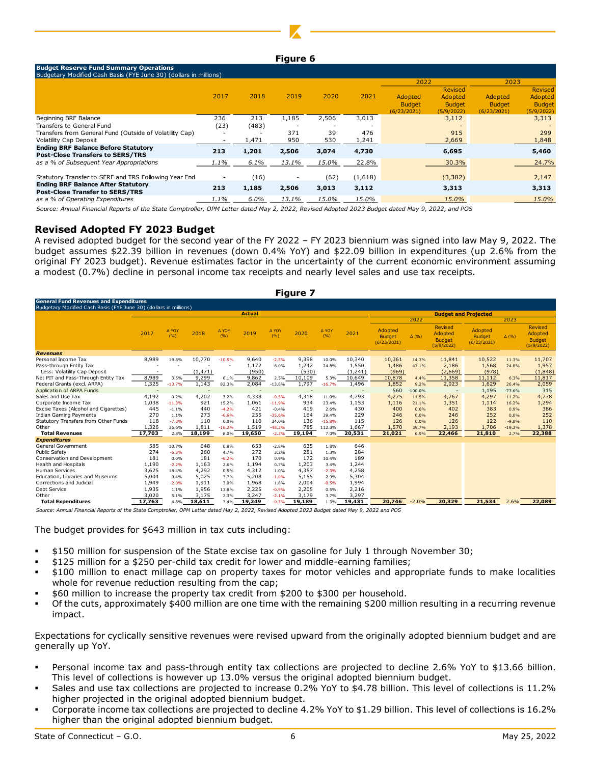#### **Figure 6**

| <b>Budget Reserve Fund Summary Operations</b><br>Budgetary Modified Cash Basis (FYE June 30) (dollars in millions) |      |         |            |           |              |                                         |                                                   |                                         |                                                   |  |  |
|--------------------------------------------------------------------------------------------------------------------|------|---------|------------|-----------|--------------|-----------------------------------------|---------------------------------------------------|-----------------------------------------|---------------------------------------------------|--|--|
|                                                                                                                    |      |         |            |           |              | 2022                                    |                                                   | 2023                                    |                                                   |  |  |
|                                                                                                                    | 2017 | 2018    | 2019       | 2020      | 2021         | Adopted<br><b>Budget</b><br>(6/23/2021) | Revised<br>Adopted<br><b>Budget</b><br>(5/9/2022) | Adopted<br><b>Budget</b><br>(6/23/2021) | Revised<br>Adopted<br><b>Budget</b><br>(5/9/2022) |  |  |
| Beginning BRF Balance                                                                                              | 236  | 213     | 1,185      | 2,506     | 3,013        |                                         | 3,112                                             |                                         | 3,313                                             |  |  |
| Transfers to General Fund                                                                                          | (23) | (483)   |            |           |              |                                         |                                                   |                                         |                                                   |  |  |
| Transfers from General Fund (Outside of Volatility Cap)<br><b>Volatility Cap Deposit</b>                           |      | 1,471   | 371<br>950 | 39<br>530 | 476<br>1,241 |                                         | 915<br>2,669                                      |                                         | 299<br>1,848                                      |  |  |
| <b>Ending BRF Balance Before Statutory</b><br><b>Post-Close Transfers to SERS/TRS</b>                              | 213  | 1,201   | 2,506      | 3,074     | 4,730        |                                         | 6,695                                             |                                         | 5,460                                             |  |  |
| as a % of Subsequent Year Appropriations                                                                           | 1.1% | 6.1%    | 13.1%      | 15.0%     | 22.8%        |                                         | 30.3%                                             |                                         | 24.7%                                             |  |  |
| Statutory Transfer to SERF and TRS Following Year End                                                              |      | (16)    |            | (62)      | (1,618)      |                                         | (3, 382)                                          |                                         | 2,147                                             |  |  |
| <b>Ending BRF Balance After Statutory</b><br><b>Post-Close Transfer to SERS/TRS</b>                                | 213  | 1,185   | 2,506      | 3,013     | 3,112        |                                         | 3,313                                             |                                         | 3,313                                             |  |  |
| as a % of Operating Expenditures                                                                                   | 1.1% | $6.0\%$ | 13.1%      | 15.0%     | 15.0%        |                                         | 15.0%                                             |                                         | 15.0%                                             |  |  |

*Source: Annual Financial Reports of the State Comptroller, OPM Letter dated May 2, 2022, Revised Adopted 2023 Budget dated May 9, 2022, and POS*

#### **Revised Adopted FY 2023 Budget**

A revised adopted budget for the second year of the FY 2022 – FY 2023 biennium was signed into law May 9, 2022. The budget assumes \$22.39 billion in revenues (down 0.4% YoY) and \$22.09 billion in expenditures (up 2.6% from the original FY 2023 budget). Revenue estimates factor in the uncertainty of the current economic environment assuming a modest (0.7%) decline in personal income tax receipts and nearly level sales and use tax receipts.

| <b>Figure 7</b>                                                                           |        |              |          |                               |                 |              |                                   |              |          |                                              |              |                                                   |                                         |              |                                                          |
|-------------------------------------------------------------------------------------------|--------|--------------|----------|-------------------------------|-----------------|--------------|-----------------------------------|--------------|----------|----------------------------------------------|--------------|---------------------------------------------------|-----------------------------------------|--------------|----------------------------------------------------------|
| <b>General Fund Revenues and Expenditures</b>                                             |        |              |          |                               |                 |              |                                   |              |          |                                              |              |                                                   |                                         |              |                                                          |
| Budgetary Modified Cash Basis (FYE June 30) (dollars in millions)                         |        |              |          |                               | Actual          |              |                                   |              |          |                                              |              |                                                   | <b>Budget and Projected</b>             |              |                                                          |
|                                                                                           |        |              |          |                               |                 |              |                                   | 2022         |          |                                              | 2023         |                                                   |                                         |              |                                                          |
|                                                                                           | 2017   | A YOY<br>(%) | 2018     | A YOY<br>(%)                  | 2019            | A YOY<br>(%) | 2020                              | A YOY<br>(%) | 2021     | Adopted<br><b>Budget</b><br>(6/23/2021)      | $\Delta$ (%) | Revised<br>Adopted<br><b>Budget</b><br>(5/9/2022) | Adopted<br><b>Budget</b><br>(6/23/2021) | $\Delta$ (%) | <b>Revised</b><br>Adopted<br><b>Budget</b><br>(5/9/2022) |
| <b>Revenues</b>                                                                           |        |              |          |                               |                 |              |                                   |              |          |                                              |              |                                                   |                                         |              |                                                          |
| Personal Income Tax                                                                       | 8,989  | 19.8%        | 10,770   | $-10.5%$                      | 9,640           | $-2.5%$      | 9,398                             | 10.0%        | 10,340   | 10,361                                       | 14.3%        | 11,841                                            | 10,522                                  | 11.3%        | 11,707                                                   |
| Pass-through Entity Tax                                                                   |        |              |          |                               | 1,172           | 6.0%         | 1,242                             | 24.8%        | 1,550    | 1,486                                        | 47.1%        | 2,186                                             | 1,568                                   | 24.8%        | 1,957                                                    |
| Less: Volatility Cap Deposit                                                              |        |              | (1, 471) |                               | (950)           |              | (530)                             |              | (1, 241) | (969)                                        |              | (2,669)                                           | (978)                                   |              | (1, 848)                                                 |
| Net PIT and Pass-Through Entity Tax                                                       | 8,989  | 3.5%         | 9.299    | 6.1%                          | 9.862           | 2.5%         | 10,109                            | 5.3%         | 10,649   | 10.878                                       | 4.4%         | 11,358                                            | 11.112                                  | 6.3%         | 11.817                                                   |
| Federal Grants (excl. ARPA)                                                               | 1,325  | $-13.7%$     | 1,143    | 82.3%                         | 2,084           | $-13.8%$     | 1,797                             | $-16.7%$     | 1,496    | 1,852                                        | 9.2%         | 2,023                                             | 1,629                                   | 26.4%        | 2,059                                                    |
| Application of ARPA Funds                                                                 |        |              |          |                               |                 |              |                                   |              |          | 560                                          | $-100.0%$    |                                                   | 1,195                                   | $-73.6%$     | 315                                                      |
| Sales and Use Tax                                                                         | 4,192  | 0.2%         | 4,202    | 3.2%                          | 4,338           | $-0.5%$      | 4,318                             | 11.0%        | 4,793    | 4,275                                        | 11.5%        | 4,767                                             | 4,297                                   | 11.2%        | 4,778                                                    |
| Corporate Income Tax                                                                      | 1,038  | $-11.3%$     | 921      | 15.2%                         | 1,061           | $-11.9%$     | 934                               | 23.4%        | 1,153    | 1,116                                        | 21.1%        | 1,351                                             | 1,114                                   | 16.2%        | 1,294                                                    |
| Excise Taxes (Alcohol and Cigarettes)                                                     | 445    | $-1.1%$      | 440      | $-4.2%$                       | 421             | $-0.4%$      | 419                               | 2.6%         | 430      | 400                                          | 0.6%         | 402                                               | 383                                     | 0.9%         | 386                                                      |
| <b>Indian Gaming Payments</b>                                                             | 270    | 1.1%         | 273      | $-6.6%$                       | 255             | $-35.6%$     | 164                               | 39.4%        | 229      | 246                                          | 0.0%         | 246                                               | 252                                     | 0.0%         | 252                                                      |
| Statutory Transfers from Other Funds                                                      | 118    | $-7.3%$      | 110      | 0.0%                          | 110             | 24.0%        | 136                               | $-15.8%$     | 115      | 126                                          | 0.0%         | 126                                               | 122                                     | $-9.8%$      | 110                                                      |
| Other                                                                                     | 1,326  | 36.6%        | 1,811    | $-16.2%$                      | 1,519           | $-48.3%$     | 785                               | 112.3%       | 1,667    | 1,570                                        | 39.7%        | 2.193                                             | 1,706                                   | $-19.3%$     | 1,378                                                    |
| <b>Total Revenues</b>                                                                     | 17,703 | 2.8%         | 18,199   | 8.0%                          | 19,650          | $-2.3%$      | 19,194                            | 7.0%         | 20,531   | 21,021                                       | 6.9%         | 22,466                                            | 21,810                                  | 2.7%         | 22,388                                                   |
| <b>Expenditures</b>                                                                       |        |              |          |                               |                 |              |                                   |              |          |                                              |              |                                                   |                                         |              |                                                          |
| <b>General Government</b>                                                                 | 585    | 10.7%        | 648      | 0.8%                          | 653             | $-2.8%$      | 635                               | 1.8%         | 646      |                                              |              |                                                   |                                         |              |                                                          |
| Public Safety                                                                             | 274    | $-5.3%$      | 260      | 4.7%                          | 272             | 3.2%         | 281                               | 1.3%         | 284      |                                              |              |                                                   |                                         |              |                                                          |
| Conservation and Development                                                              | 181    | 0.0%         | 181      | $-6.2%$                       | 170             | 0.9%         | 172                               | 10.4%        | 189      |                                              |              |                                                   |                                         |              |                                                          |
| Health and Hospitals                                                                      | 1,190  | $-2.2%$      | 1,163    | 2.6%                          | 1,194           | 0.7%         | 1,203                             | 3.4%         | 1,244    |                                              |              |                                                   |                                         |              |                                                          |
| <b>Human Services</b>                                                                     | 3.625  | 18.4%        | 4.292    | 0.5%                          | 4.312           | 1.0%         | 4.357                             | $-2.3%$      | 4,258    |                                              |              |                                                   |                                         |              |                                                          |
| Education, Libraries and Museums                                                          | 5,004  | 0.4%         | 5.025    | 3.7%                          | 5,208           | $-1.0%$      | 5.155                             | 2.9%         | 5,304    |                                              |              |                                                   |                                         |              |                                                          |
| Corrections and Judicial                                                                  | 1,949  | $-2.0%$      | 1,911    | 3.0%                          | 1,968           | 1.8%         | 2,004                             | $-0.5%$      | 1,994    |                                              |              |                                                   |                                         |              |                                                          |
| Debt Service                                                                              | 1,935  | 1.1%         | 1,956    | 13.8%                         | 2,225           | $-0.9%$      | 2,205                             | 0.5%         | 2,216    |                                              |              |                                                   |                                         |              |                                                          |
| Other                                                                                     | 3,020  | 5.1%         | 3,175    | 2.3%                          | 3,247           | $-2.1%$      | 3,179                             | 3.7%         | 3,297    |                                              |              |                                                   |                                         |              |                                                          |
| <b>Total Expenditures</b><br>Correor Annual Financial Donome of the Chate Comptueller ODM | 17,763 | 4.8%         | 18,611   | 3.4%<br>$l$ attackad Mars $2$ | 19,249<br>ר ה ה | $-0.3%$      | 19,189<br>Doulord Adentad 2022 D. | 1.3%         | 19,431   | 20,746<br>algebra detail Mau 0, 2022 and DOC | $-2.0%$      | 20,329                                            | 21,534                                  | 2.6%         | 22,089                                                   |

*Source: Annual Financial Reports of the State Comptroller, OPM Letter dated May 2, 2022, Revised Adopted 2023 Budget dated May 9, 2022 and POS*

The budget provides for \$643 million in tax cuts including:

- \$150 million for suspension of the State excise tax on gasoline for July 1 through November 30;
- \$125 million for a \$250 per-child tax credit for lower and middle-earning families;
- \$100 million to enact millage cap on property taxes for motor vehicles and appropriate funds to make localities whole for revenue reduction resulting from the cap;
- \$60 million to increase the property tax credit from \$200 to \$300 per household.
- Of the cuts, approximately \$400 million are one time with the remaining \$200 million resulting in a recurring revenue impact.

Expectations for cyclically sensitive revenues were revised upward from the originally adopted biennium budget and are generally up YoY.

- Personal income tax and pass-through entity tax collections are projected to decline 2.6% YoY to \$13.66 billion. This level of collections is however up 13.0% versus the original adopted biennium budget.
- Sales and use tax collections are projected to increase 0.2% YoY to \$4.78 billion. This level of collections is 11.2% higher projected in the original adopted biennium budget.
- Corporate income tax collections are projected to decline 4.2% YoY to \$1.29 billion. This level of collections is 16.2% higher than the original adopted biennium budget.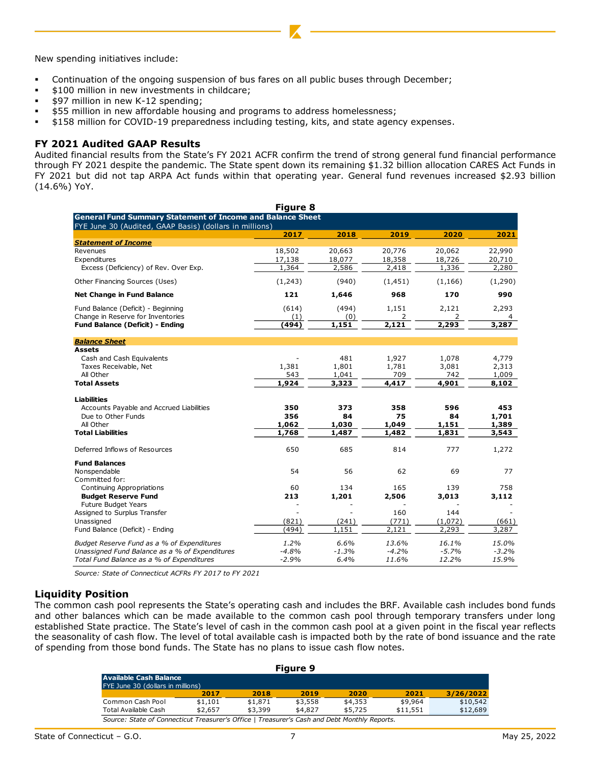New spending initiatives include:

- Continuation of the ongoing suspension of bus fares on all public buses through December;
- \$100 million in new investments in childcare;
- \$97 million in new K-12 spending;
- \$55 million in new affordable housing and programs to address homelessness;
- \$158 million for COVID-19 preparedness including testing, kits, and state agency expenses.

#### **FY 2021 Audited GAAP Results**

Audited financial results from the State's FY 2021 ACFR confirm the trend of strong general fund financial performance through FY 2021 despite the pandemic. The State spent down its remaining \$1.32 billion allocation CARES Act Funds in FY 2021 but did not tap ARPA Act funds within that operating year. General fund revenues increased \$2.93 billion (14.6%) YoY.

|                                                                   | Figure 8 |         |              |                |         |
|-------------------------------------------------------------------|----------|---------|--------------|----------------|---------|
| <b>General Fund Summary Statement of Income and Balance Sheet</b> |          |         |              |                |         |
| FYE June 30 (Audited, GAAP Basis) (dollars in millions)           | 2017     | 2018    | 2019         | 2020           | 2021    |
| <b>Statement of Income</b>                                        |          |         |              |                |         |
| Revenues                                                          | 18,502   | 20,663  | 20,776       | 20,062         | 22,990  |
| Expenditures                                                      | 17,138   | 18,077  | 18,358       | 18,726         | 20,710  |
| Excess (Deficiency) of Rev. Over Exp.                             | 1,364    | 2,586   | 2,418        | 1,336          | 2,280   |
| Other Financing Sources (Uses)                                    | (1,243)  | (940)   | (1, 451)     | (1, 166)       | (1,290) |
| <b>Net Change in Fund Balance</b>                                 | 121      | 1,646   | 968          | 170            | 990     |
| Fund Balance (Deficit) - Beginning                                | (614)    | (494)   | 1,151        | 2,121          | 2,293   |
| Change in Reserve for Inventories                                 | (1)      | (0)     | 2            | 2              | 4       |
| Fund Balance (Deficit) - Ending                                   | (494)    | 1,151   | 2,121        | 2,293          | 3,287   |
| <b>Balance Sheet</b>                                              |          |         |              |                |         |
| <b>Assets</b>                                                     |          |         |              |                |         |
| Cash and Cash Equivalents                                         |          | 481     | 1,927        | 1,078          | 4,779   |
| Taxes Receivable, Net                                             | 1,381    | 1,801   | 1,781        | 3,081          | 2,313   |
| All Other                                                         | 543      | 1,041   | 709          | 742            | 1,009   |
| <b>Total Assets</b>                                               | 1,924    | 3,323   | 4,417        | 4,901          | 8,102   |
| <b>Liabilities</b>                                                |          |         |              |                |         |
| Accounts Payable and Accrued Liabilities                          | 350      | 373     | 358          | 596            | 453     |
| Due to Other Funds                                                | 356      | 84      | 75           | 84             | 1,701   |
| All Other                                                         | 1,062    | 1,030   | 1,049        | 1,151          | 1,389   |
| <b>Total Liabilities</b>                                          | 1,768    | 1,487   | 1,482        | 1,831          | 3,543   |
| Deferred Inflows of Resources                                     | 650      | 685     | 814          | 777            | 1,272   |
| <b>Fund Balances</b>                                              |          |         |              |                |         |
| Nonspendable                                                      | 54       | 56      | 62           | 69             | 77      |
| Committed for:                                                    |          |         |              |                |         |
| <b>Continuing Appropriations</b>                                  | 60       | 134     | 165          | 139            | 758     |
| <b>Budget Reserve Fund</b>                                        | 213      | 1,201   | 2,506        | 3,013          | 3,112   |
| <b>Future Budget Years</b>                                        |          |         |              |                |         |
| Assigned to Surplus Transfer<br>Unassigned                        | (821)    | (241)   | 160<br>(771) | 144<br>(1,072) | (661)   |
| Fund Balance (Deficit) - Ending                                   | (494)    | 1,151   | 2,121        | 2,293          | 3,287   |
|                                                                   |          |         |              |                |         |
| Budget Reserve Fund as a % of Expenditures                        | 1.2%     | 6.6%    | 13.6%        | 16.1%          | 15.0%   |
| Unassigned Fund Balance as a % of Expenditures                    | $-4.8%$  | $-1.3%$ | $-4.2%$      | $-5.7%$        | $-3.2%$ |
| Total Fund Balance as a % of Expenditures                         | $-2.9%$  | 6.4%    | 11.6%        | 12.2%          | 15.9%   |

*Source: State of Connecticut ACFRs FY 2017 to FY 2021*

#### **Liquidity Position**

The common cash pool represents the State's operating cash and includes the BRF. Available cash includes bond funds and other balances which can be made available to the common cash pool through temporary transfers under long established State practice. The State's level of cash in the common cash pool at a given point in the fiscal year reflects the seasonality of cash flow. The level of total available cash is impacted both by the rate of bond issuance and the rate of spending from those bond funds. The State has no plans to issue cash flow notes.

| Figure 9                                                                                     |         |         |         |         |          |           |  |  |  |
|----------------------------------------------------------------------------------------------|---------|---------|---------|---------|----------|-----------|--|--|--|
| Available Cash Balance                                                                       |         |         |         |         |          |           |  |  |  |
| FYE June 30 (dollars in millions)                                                            |         |         |         |         |          |           |  |  |  |
|                                                                                              | 2017    | 2018    | 2019    | 2020    | 2021     | 3/26/2022 |  |  |  |
| Common Cash Pool                                                                             | \$1,101 | \$1,871 | \$3,558 | \$4,353 | \$9,964  | \$10,542  |  |  |  |
| Total Available Cash                                                                         | \$2,657 | \$3,399 | \$4,827 | \$5,725 | \$11,551 | \$12,689  |  |  |  |
| Source: State of Connecticut Treasurer's Office   Treasurer's Cash and Debt Monthly Reports. |         |         |         |         |          |           |  |  |  |